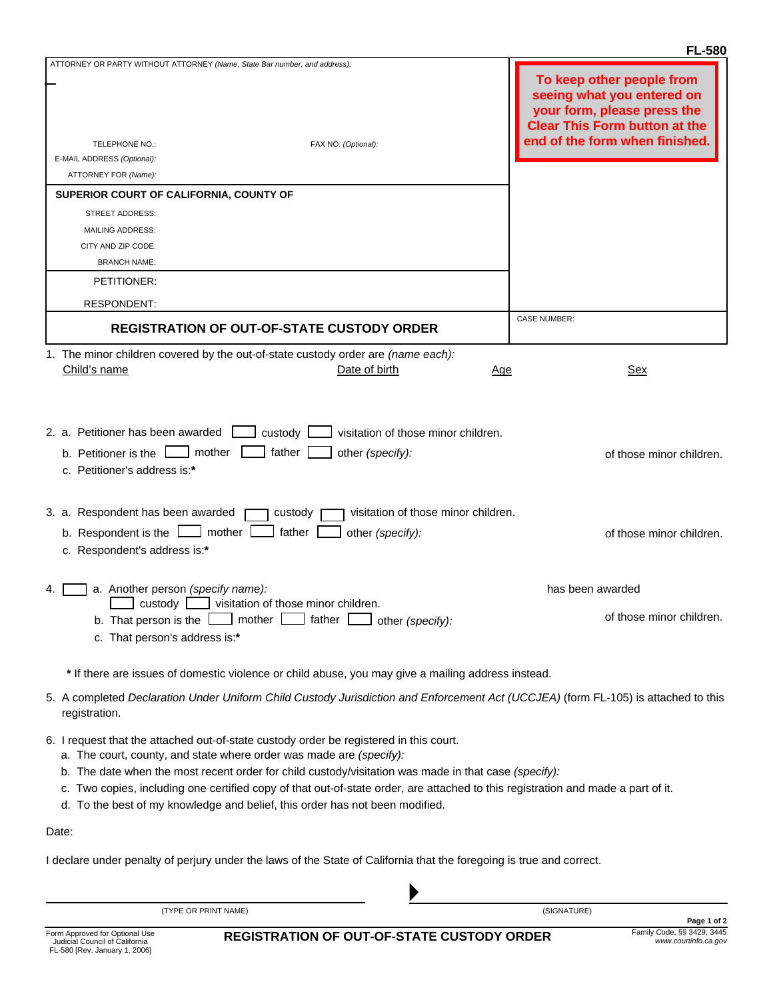|                                                                                                                                                                                                                                                                                                                                                                                                                                                                                           | <b>FL-580</b>                                                                                                                  |
|-------------------------------------------------------------------------------------------------------------------------------------------------------------------------------------------------------------------------------------------------------------------------------------------------------------------------------------------------------------------------------------------------------------------------------------------------------------------------------------------|--------------------------------------------------------------------------------------------------------------------------------|
| ATTORNEY OR PARTY WITHOUT ATTORNEY (Name, State Bar number, and address):                                                                                                                                                                                                                                                                                                                                                                                                                 | To keep other people from<br>seeing what you entered on<br>your form, please press the<br><b>Clear This Form button at the</b> |
| TELEPHONE NO.:<br>FAX NO. (Optional):                                                                                                                                                                                                                                                                                                                                                                                                                                                     | end of the form when finished.                                                                                                 |
| E-MAIL ADDRESS (Optional):<br>ATTORNEY FOR (Name):                                                                                                                                                                                                                                                                                                                                                                                                                                        |                                                                                                                                |
| SUPERIOR COURT OF CALIFORNIA, COUNTY OF                                                                                                                                                                                                                                                                                                                                                                                                                                                   |                                                                                                                                |
| STREET ADDRESS:                                                                                                                                                                                                                                                                                                                                                                                                                                                                           |                                                                                                                                |
| <b>MAILING ADDRESS:</b>                                                                                                                                                                                                                                                                                                                                                                                                                                                                   |                                                                                                                                |
| CITY AND ZIP CODE:                                                                                                                                                                                                                                                                                                                                                                                                                                                                        |                                                                                                                                |
| <b>BRANCH NAME:</b>                                                                                                                                                                                                                                                                                                                                                                                                                                                                       |                                                                                                                                |
| PETITIONER:                                                                                                                                                                                                                                                                                                                                                                                                                                                                               |                                                                                                                                |
| <b>RESPONDENT:</b>                                                                                                                                                                                                                                                                                                                                                                                                                                                                        |                                                                                                                                |
| <b>REGISTRATION OF OUT-OF-STATE CUSTODY ORDER</b>                                                                                                                                                                                                                                                                                                                                                                                                                                         | <b>CASE NUMBER:</b>                                                                                                            |
|                                                                                                                                                                                                                                                                                                                                                                                                                                                                                           |                                                                                                                                |
| 1. The minor children covered by the out-of-state custody order are (name each):<br>Child's name<br>Date of birth<br>Age                                                                                                                                                                                                                                                                                                                                                                  | Sex                                                                                                                            |
| 2. a. Petitioner has been awarded<br>custody  <br>visitation of those minor children.<br>b. Petitioner is the $\boxed{\phantom{a}}$ mother $\boxed{\phantom{a}}$<br>father [<br>other (specify):<br>c. Petitioner's address is:*                                                                                                                                                                                                                                                          | of those minor children.                                                                                                       |
| 3. a. Respondent has been awarded<br>visitation of those minor children.<br>custody<br>b. Respondent is the $\boxed{\phantom{a}}$ mother $\boxed{\phantom{a}}$<br>father<br>other (specify):<br>c. Respondent's address is:*                                                                                                                                                                                                                                                              | of those minor children.                                                                                                       |
| a. Another person (specify name):<br>4.                                                                                                                                                                                                                                                                                                                                                                                                                                                   | has been awarded                                                                                                               |
| visitation of those minor children.<br>custody<br>mother<br>father<br>b. That person is the I<br>other (specify):<br>c. That person's address is:*                                                                                                                                                                                                                                                                                                                                        | of those minor children.                                                                                                       |
| * If there are issues of domestic violence or child abuse, you may give a mailing address instead.                                                                                                                                                                                                                                                                                                                                                                                        |                                                                                                                                |
| 5. A completed Declaration Under Uniform Child Custody Jurisdiction and Enforcement Act (UCCJEA) (form FL-105) is attached to this<br>registration.                                                                                                                                                                                                                                                                                                                                       |                                                                                                                                |
| 6. I request that the attached out-of-state custody order be registered in this court.<br>a. The court, county, and state where order was made are (specify):<br>b. The date when the most recent order for child custody/visitation was made in that case (specify):<br>c. Two copies, including one certified copy of that out-of-state order, are attached to this registration and made a part of it.<br>d. To the best of my knowledge and belief, this order has not been modified. |                                                                                                                                |
| Date:                                                                                                                                                                                                                                                                                                                                                                                                                                                                                     |                                                                                                                                |

I declare under penalty of perjury under the laws of the State of California that the foregoing is true and correct.

(TYPE OR PRINT NAME)

(SIGNATURE)

`